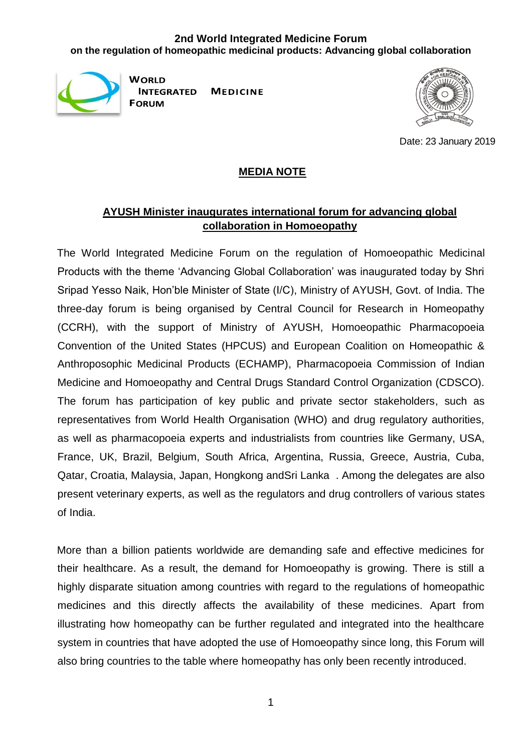## **2nd World Integrated Medicine Forum on the regulation of homeopathic medicinal products: Advancing global collaboration**



**WORLD MEDICINE INTEGRATED FORUM** 



Date: 23 January 2019

### **MEDIA NOTE**

# **AYUSH Minister inaugurates international forum for advancing global collaboration in Homoeopathy**

The World Integrated Medicine Forum on the regulation of Homoeopathic Medicinal Products with the theme 'Advancing Global Collaboration' was inaugurated today by Shri Sripad Yesso Naik, Hon'ble Minister of State (I/C), Ministry of AYUSH, Govt. of India. The three-day forum is being organised by Central Council for Research in Homeopathy (CCRH), with the support of Ministry of AYUSH, Homoeopathic Pharmacopoeia Convention of the United States (HPCUS) and European Coalition on Homeopathic & Anthroposophic Medicinal Products (ECHAMP), Pharmacopoeia Commission of Indian Medicine and Homoeopathy and Central Drugs Standard Control Organization (CDSCO). The forum has participation of key public and private sector stakeholders, such as representatives from World Health Organisation (WHO) and drug regulatory authorities, as well as pharmacopoeia experts and industrialists from countries like Germany, USA, France, UK, Brazil, Belgium, South Africa, Argentina, Russia, Greece, Austria, Cuba, Qatar, Croatia, Malaysia, Japan, Hongkong andSri Lanka . Among the delegates are also present veterinary experts, as well as the regulators and drug controllers of various states of India.

More than a billion patients worldwide are demanding safe and effective medicines for their healthcare. As a result, the demand for Homoeopathy is growing. There is still a highly disparate situation among countries with regard to the regulations of homeopathic medicines and this directly affects the availability of these medicines. Apart from illustrating how homeopathy can be further regulated and integrated into the healthcare system in countries that have adopted the use of Homoeopathy since long, this Forum will also bring countries to the table where homeopathy has only been recently introduced.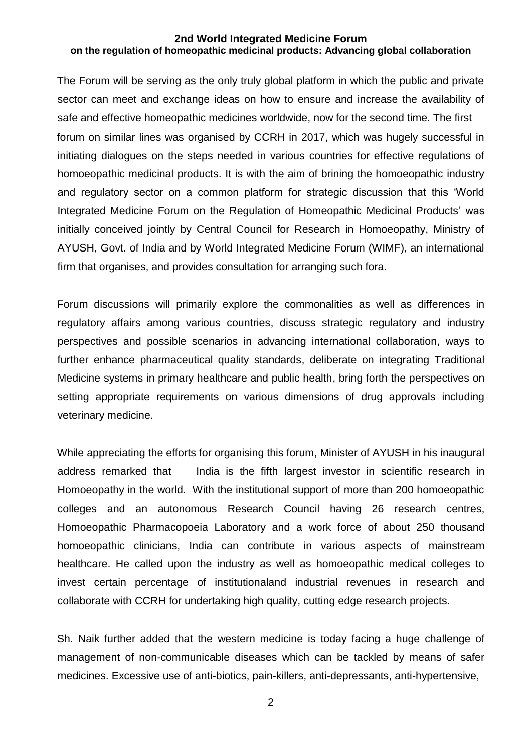#### **2nd World Integrated Medicine Forum on the regulation of homeopathic medicinal products: Advancing global collaboration**

The Forum will be serving as the only truly global platform in which the public and private sector can meet and exchange ideas on how to ensure and increase the availability of safe and effective homeopathic medicines worldwide, now for the second time. The first forum on similar lines was organised by CCRH in 2017, which was hugely successful in initiating dialogues on the steps needed in various countries for effective regulations of homoeopathic medicinal products. It is with the aim of brining the homoeopathic industry and regulatory sector on a common platform for strategic discussion that this 'World Integrated Medicine Forum on the Regulation of Homeopathic Medicinal Products' was initially conceived jointly by Central Council for Research in Homoeopathy, Ministry of AYUSH, Govt. of India and by World Integrated Medicine Forum (WIMF), an international firm that organises, and provides consultation for arranging such fora.

Forum discussions will primarily explore the commonalities as well as differences in regulatory affairs among various countries, discuss strategic regulatory and industry perspectives and possible scenarios in advancing international collaboration, ways to further enhance pharmaceutical quality standards, deliberate on integrating Traditional Medicine systems in primary healthcare and public health, bring forth the perspectives on setting appropriate requirements on various dimensions of drug approvals including veterinary medicine.

While appreciating the efforts for organising this forum, Minister of AYUSH in his inaugural address remarked that India is the fifth largest investor in scientific research in Homoeopathy in the world. With the institutional support of more than 200 homoeopathic colleges and an autonomous Research Council having 26 research centres, Homoeopathic Pharmacopoeia Laboratory and a work force of about 250 thousand homoeopathic clinicians, India can contribute in various aspects of mainstream healthcare. He called upon the industry as well as homoeopathic medical colleges to invest certain percentage of institutionaland industrial revenues in research and collaborate with CCRH for undertaking high quality, cutting edge research projects.

Sh. Naik further added that the western medicine is today facing a huge challenge of management of non-communicable diseases which can be tackled by means of safer medicines. Excessive use of anti-biotics, pain-killers, anti-depressants, anti-hypertensive,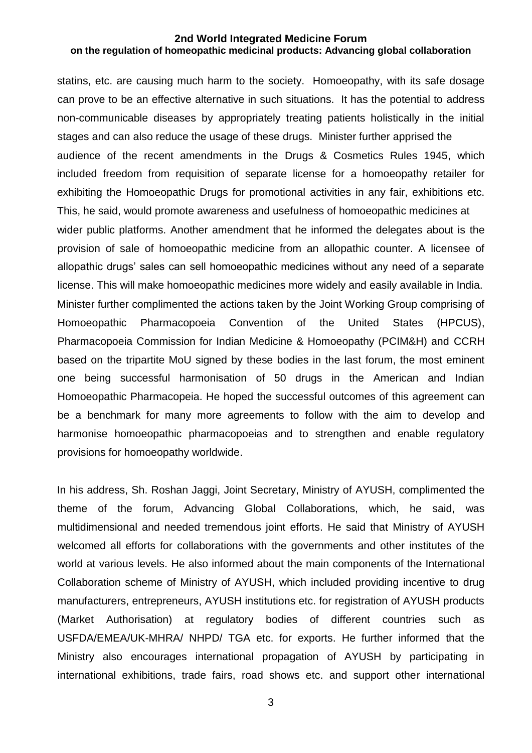#### **2nd World Integrated Medicine Forum on the regulation of homeopathic medicinal products: Advancing global collaboration**

statins, etc. are causing much harm to the society. Homoeopathy, with its safe dosage can prove to be an effective alternative in such situations. It has the potential to address non-communicable diseases by appropriately treating patients holistically in the initial stages and can also reduce the usage of these drugs. Minister further apprised the audience of the recent amendments in the Drugs & Cosmetics Rules 1945, which included freedom from requisition of separate license for a homoeopathy retailer for exhibiting the Homoeopathic Drugs for promotional activities in any fair, exhibitions etc. This, he said, would promote awareness and usefulness of homoeopathic medicines at wider public platforms. Another amendment that he informed the delegates about is the provision of sale of homoeopathic medicine from an allopathic counter. A licensee of allopathic drugs' sales can sell homoeopathic medicines without any need of a separate license. This will make homoeopathic medicines more widely and easily available in India. Minister further complimented the actions taken by the Joint Working Group comprising of Homoeopathic Pharmacopoeia Convention of the United States (HPCUS), Pharmacopoeia Commission for Indian Medicine & Homoeopathy (PCIM&H) and CCRH based on the tripartite MoU signed by these bodies in the last forum, the most eminent one being successful harmonisation of 50 drugs in the American and Indian Homoeopathic Pharmacopeia. He hoped the successful outcomes of this agreement can be a benchmark for many more agreements to follow with the aim to develop and harmonise homoeopathic pharmacopoeias and to strengthen and enable regulatory provisions for homoeopathy worldwide.

In his address, Sh. Roshan Jaggi, Joint Secretary, Ministry of AYUSH, complimented the theme of the forum, Advancing Global Collaborations, which, he said, was multidimensional and needed tremendous joint efforts. He said that Ministry of AYUSH welcomed all efforts for collaborations with the governments and other institutes of the world at various levels. He also informed about the main components of the International Collaboration scheme of Ministry of AYUSH, which included providing incentive to drug manufacturers, entrepreneurs, AYUSH institutions etc. for registration of AYUSH products (Market Authorisation) at regulatory bodies of different countries such as USFDA/EMEA/UK-MHRA/ NHPD/ TGA etc. for exports. He further informed that the Ministry also encourages international propagation of AYUSH by participating in international exhibitions, trade fairs, road shows etc. and support other international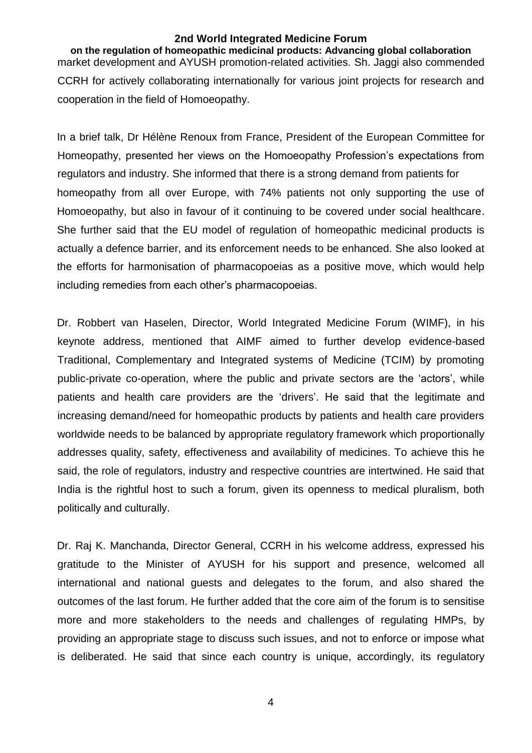#### **2nd World Integrated Medicine Forum**

**on the regulation of homeopathic medicinal products: Advancing global collaboration** market development and AYUSH promotion-related activities. Sh. Jaggi also commended CCRH for actively collaborating internationally for various joint projects for research and cooperation in the field of Homoeopathy.

In a brief talk, Dr Hélène Renoux from France, President of the European Committee for Homeopathy, presented her views on the Homoeopathy Profession's expectations from regulators and industry. She informed that there is a strong demand from patients for homeopathy from all over Europe, with 74% patients not only supporting the use of Homoeopathy, but also in favour of it continuing to be covered under social healthcare. She further said that the EU model of regulation of homeopathic medicinal products is actually a defence barrier, and its enforcement needs to be enhanced. She also looked at the efforts for harmonisation of pharmacopoeias as a positive move, which would help including remedies from each other's pharmacopoeias.

Dr. Robbert van Haselen, Director, World Integrated Medicine Forum (WIMF), in his keynote address, mentioned that AIMF aimed to further develop evidence-based Traditional, Complementary and Integrated systems of Medicine (TCIM) by promoting public-private co-operation, where the public and private sectors are the 'actors', while patients and health care providers are the 'drivers'. He said that the legitimate and increasing demand/need for homeopathic products by patients and health care providers worldwide needs to be balanced by appropriate regulatory framework which proportionally addresses quality, safety, effectiveness and availability of medicines. To achieve this he said, the role of regulators, industry and respective countries are intertwined. He said that India is the rightful host to such a forum, given its openness to medical pluralism, both politically and culturally.

Dr. Raj K. Manchanda, Director General, CCRH in his welcome address, expressed his gratitude to the Minister of AYUSH for his support and presence, welcomed all international and national guests and delegates to the forum, and also shared the outcomes of the last forum. He further added that the core aim of the forum is to sensitise more and more stakeholders to the needs and challenges of regulating HMPs, by providing an appropriate stage to discuss such issues, and not to enforce or impose what is deliberated. He said that since each country is unique, accordingly, its regulatory